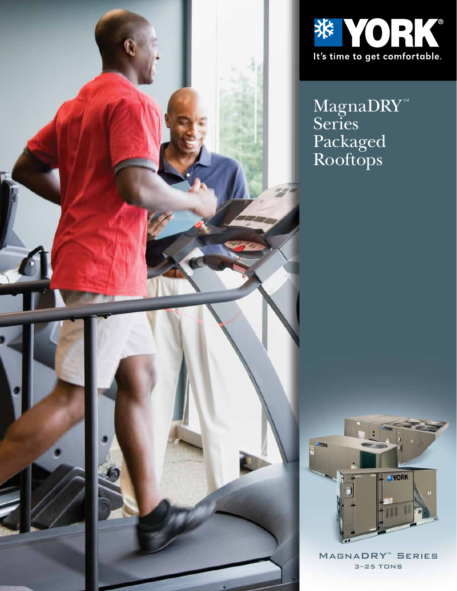



 $\rm{Magna}$ Series Packaged Rooftops



MagnaDRY™ Series 3–25 TONS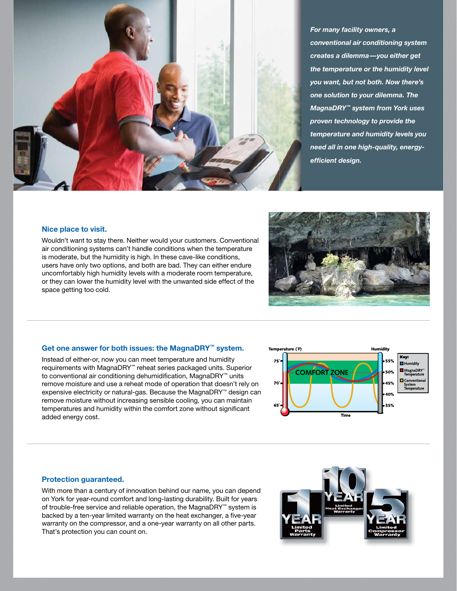

*For many facility owners, a conventional air conditioning system creates a dilemma—you either get the temperature or the humidity level you want, but not both. Now there's one solution to your dilemma. The MagnaDRY™ system from York uses proven technology to provide the temperature and humidity levels you need all in one high-quality, energyeffi cient design.*

#### **Nice place to visit.**

Wouldn't want to stay there. Neither would your customers. Conventional air conditioning systems can't handle conditions when the temperature is moderate, but the humidity is high. In these cave-like conditions, users have only two options, and both are bad. They can either endure uncomfortably high humidity levels with a moderate room temperature, or they can lower the humidity level with the unwanted side effect of the space getting too cold.



#### **Get one answer for both issues: the MagnaDRY™ system.**

Instead of either-or, now you can meet temperature and humidity requirements with MagnaDRY™ reheat series packaged units. Superior to conventional air conditioning dehumidification, MagnaDRY™ units remove moisture and use a reheat mode of operation that doesn't rely on expensive electricity or natural-gas. Because the MagnaDRY™ design can remove moisture without increasing sensible cooling, you can maintain temperatures and humidity within the comfort zone without significant added energy cost.



#### **Protection guaranteed.**

With more than a century of innovation behind our name, you can depend on York for year-round comfort and long-lasting durability. Built for years of trouble-free service and reliable operation, the MagnaDRY™ system is backed by a ten-year limited warranty on the heat exchanger, a five-year warranty on the compressor, and a one-year warranty on all other parts. That's protection you can count on.

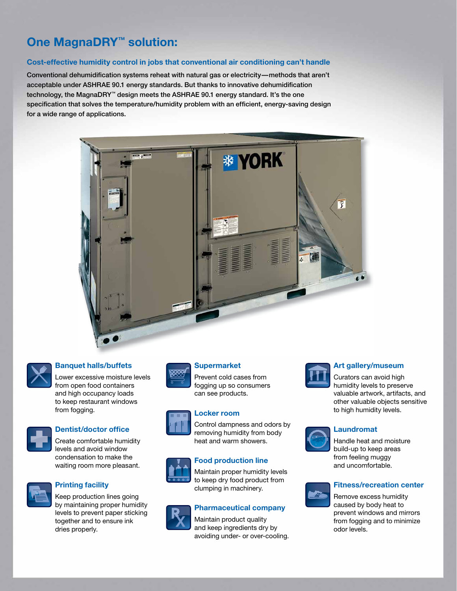# **One MagnaDRY™ solution:**

### **Cost-effective humidity control in jobs that conventional air conditioning can't handle**

Conventional dehumidification systems reheat with natural gas or electricity—methods that aren't acceptable under ASHRAE 90.1 energy standards. But thanks to innovative dehumidification technology, the MagnaDRY™ design meets the ASHRAE 90.1 energy standard. It's the one specification that solves the temperature/humidity problem with an efficient, energy-saving design for a wide range of applications.



## **Banquet halls/buffets**

Lower excessive moisture levels from open food containers and high occupancy loads to keep restaurant windows from fogging.



# **Dentist/doctor office**

Create comfortable humidity levels and avoid window condensation to make the waiting room more pleasant.



# **Printing facility**

Keep production lines going by maintaining proper humidity levels to prevent paper sticking together and to ensure ink dries properly.



# **Supermarket**

Prevent cold cases from fogging up so consumers can see products.

### **Locker room**



# **Food production line**

Maintain proper humidity levels to keep dry food product from clumping in machinery.

Control dampness and odors by removing humidity from body heat and warm showers.

### **Pharmaceutical company**

Maintain product quality and keep ingredients dry by avoiding under- or over-cooling.



### **Art gallery/museum**

Curators can avoid high humidity levels to preserve valuable artwork, artifacts, and other valuable objects sensitive to high humidity levels.



# **Laundromat**



# **Fitness/recreation center**

Remove excess humidity caused by body heat to prevent windows and mirrors from fogging and to minimize odor levels.